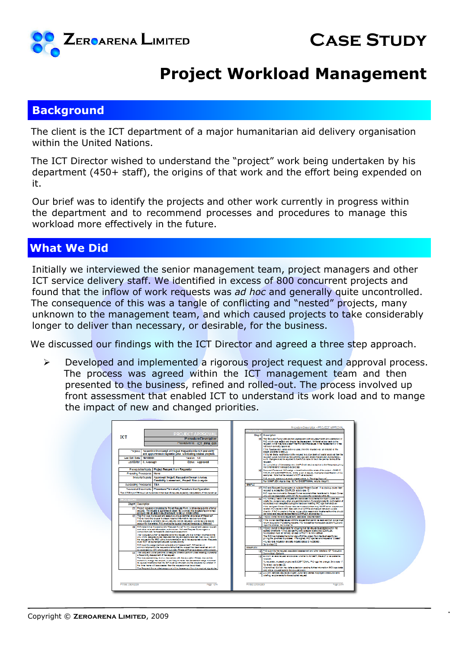

## **Project Workload Management**

## **Background**

The client is the ICT department of a major humanitarian aid delivery organisation within the United Nations.

The ICT Director wished to understand the "project" work being undertaken by his department (450+ staff), the origins of that work and the effort being expended on it.

Our brief was to identify the projects and other work currently in progress within the department and to recommend processes and procedures to manage this workload more effectively in the future.

## **What We Did**

Initially we interviewed the senior management team, project managers and other ICT service delivery staff. We identified in excess of 800 concurrent projects and found that the inflow of work requests was *ad hoc* and generally quite uncontrolled. The consequence of this was a tangle of conflicting and "nested" projects, many unknown to the management team, and which caused projects to take considerably longer to deliver than necessary, or desirable, for the business.

We discussed our findings with the ICT Director and agreed a three step approach.

 $\triangleright$  Developed and implemented a rigorous project request and approval process. The process was agreed within the ICT management team and then presented to the business, refined and rolled-out. The process involved up front assessment that enabled ICT to understand its work load and to mange the impact of new and changed priorities.